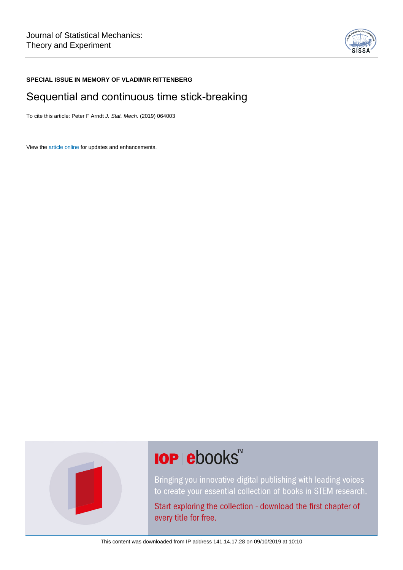

# **SPECIAL ISSUE IN MEMORY OF VLADIMIR RITTENBERG**

# Sequential and continuous time stick-breaking

To cite this article: Peter F Arndt J. Stat. Mech. (2019) 064003

View the [article online](https://doi.org/10.1088/1742-5468/ab1dd8) for updates and enhancements.



# **IOP ebooks**™

Bringing you innovative digital publishing with leading voices to create your essential collection of books in STEM research.

Start exploring the collection - download the first chapter of every title for free.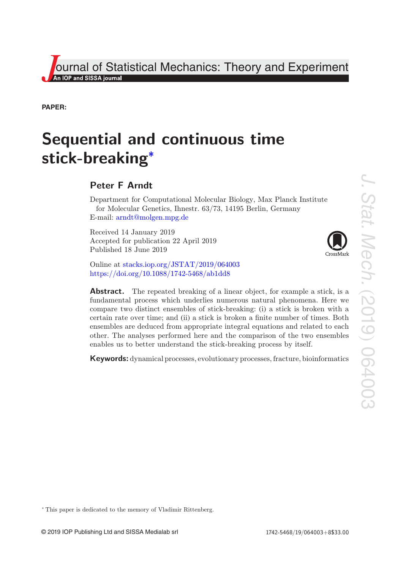**Journal of Statistical Mechanics: Theory and Experiment**<br>An IOP and SISSA journal

**PAPER:** 

# **Sequential and continuous time stick-breaking[\\*](#page-1-0)**

# **Peter F Arndt**

Department for Computational Molecular Biology, Max Planck Institute for Molecular Genetics, Ihnestr. 63/73, 14195 Berlin, Germany E-mail: [arndt@molgen.mpg.de](mailto:arndt@molgen.mpg.de)

Received 14 January 2019 Accepted for publication 22 April 2019 Published 18 June 2019

Online at <stacks.iop.org/JSTAT/2019/064003> <https://doi.org/10.1088/1742-5468/ab1dd8>

**Abstract.** The repeated breaking of a linear object, for example a stick, is a fundamental process which underlies numerous natural phenomena. Here we compare two distinct ensembles of stick-breaking: (i) a stick is broken with a certain rate over time; and (ii) a stick is broken a finite number of times. Both ensembles are deduced from appropriate integral equations and related to each other. The analyses performed here and the comparison of the two ensembles enables us to better understand the stick-breaking process by itself.

**Keywords:** dynamical processes, evolutionary processes, fracture, bioinformatics

<span id="page-1-0"></span>\* This paper is dedicated to the memory of Vladimir Rittenberg.

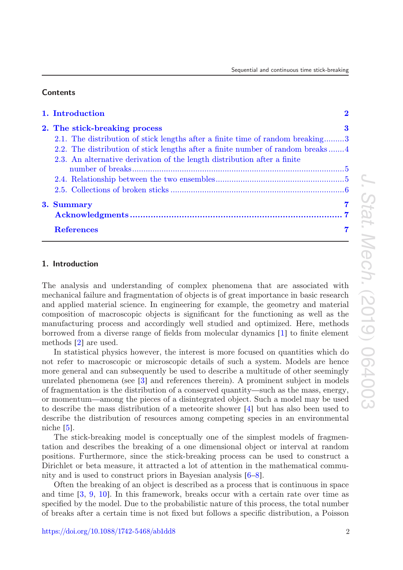# **Contents**

| 1. Introduction                                                                |   |
|--------------------------------------------------------------------------------|---|
| 2. The stick-breaking process                                                  | 3 |
| 2.1. The distribution of stick lengths after a finite time of random breaking3 |   |
| 2.2. The distribution of stick lengths after a finite number of random breaks4 |   |
| 2.3. An alternative derivation of the length distribution after a finite       |   |
|                                                                                |   |
|                                                                                |   |
|                                                                                |   |
| 3. Summary                                                                     |   |
|                                                                                |   |
| <b>References</b>                                                              |   |

# <span id="page-2-0"></span>**1. Introduction**

The analysis and understanding of complex phenomena that are associated with mechanical failure and fragmentation of objects is of great importance in basic research and applied material science. In engineering for example, the geometry and material composition of macroscopic objects is significant for the functioning as well as the manufacturing process and accordingly well studied and optimized. Here, methods borrowed from a diverse range of fields from molecular dynamics [[1](#page-7-3)] to finite element methods [[2](#page-7-4)] are used.

In statistical physics however, the interest is more focused on quantities which do not refer to macroscopic or microscopic details of such a system. Models are hence more general and can subsequently be used to describe a multitude of other seemingly unrelated phenomena (see [[3](#page-7-5)] and references therein). A prominent subject in models of fragmentation is the distribution of a conserved quantity—such as the mass, energy, or momentum—among the pieces of a disintegrated object. Such a model may be used to describe the mass distribution of a meteorite shower [[4](#page-7-6)] but has also been used to describe the distribution of resources among competing species in an environmental niche [[5](#page-7-7)].

The stick-breaking model is conceptually one of the simplest models of fragmentation and describes the breaking of a one dimensional object or interval at random positions. Furthermore, since the stick-breaking process can be used to construct a Dirichlet or beta measure, it attracted a lot of attention in the mathematical community and is used to construct priors in Bayesian analysis [[6](#page-8-1)–[8](#page-8-2)].

Often the breaking of an object is described as a process that is continuous in space and time [[3,](#page-7-5) [9,](#page-8-3) [10](#page-8-4)]. In this framework, breaks occur with a certain rate over time as specified by the model. Due to the probabilistic nature of this process, the total number of breaks after a certain time is not fixed but follows a specific distribution, a Poisson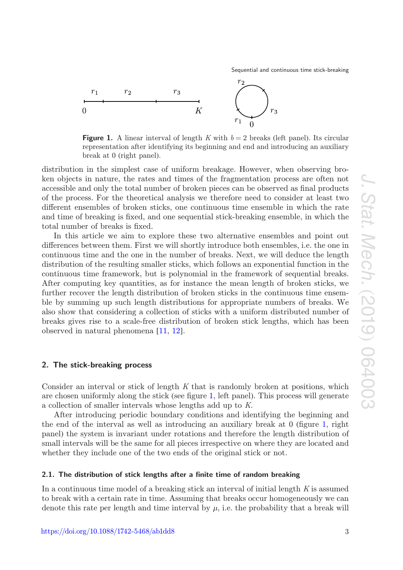

<span id="page-3-2"></span>

**Figure 1.** A linear interval of length *K* with  $b = 2$  breaks (left panel). Its circular representation after identifying its beginning and end and introducing an auxiliary break at 0 (right panel).

distribution in the simplest case of uniform breakage. However, when observing broken objects in nature, the rates and times of the fragmentation process are often not accessible and only the total number of broken pieces can be observed as final products of the process. For the theoretical analysis we therefore need to consider at least two different ensembles of broken sticks, one continuous time ensemble in which the rate and time of breaking is fixed, and one sequential stick-breaking ensemble, in which the total number of breaks is fixed.

In this article we aim to explore these two alternative ensembles and point out differences between them. First we will shortly introduce both ensembles, i.e. the one in continuous time and the one in the number of breaks. Next, we will deduce the length distribution of the resulting smaller sticks, which follows an exponential function in the continuous time framework, but is polynomial in the framework of sequential breaks. After computing key quantities, as for instance the mean length of broken sticks, we further recover the length distribution of broken sticks in the continuous time ensemble by summing up such length distributions for appropriate numbers of breaks. We also show that considering a collection of sticks with a uniform distributed number of breaks gives rise to a scale-free distribution of broken stick lengths, which has been observed in natural phenomena [[11,](#page-8-5) [12](#page-8-6)].

## <span id="page-3-0"></span>**2. The stick-breaking process**

Consider an interval or stick of length *K* that is randomly broken at positions, which are chosen uniformly along the stick (see figure [1](#page-3-2), left panel). This process will generate a collection of smaller intervals whose lengths add up to *K*.

After introducing periodic boundary conditions and identifying the beginning and the end of the interval as well as introducing an auxiliary break at 0 (figure [1,](#page-3-2) right panel) the system is invariant under rotations and therefore the length distribution of small intervals will be the same for all pieces irrespective on where they are located and whether they include one of the two ends of the original stick or not.

#### <span id="page-3-1"></span>**2.1. The distribution of stick lengths after a finite time of random breaking**

In a continuous time model of a breaking stick an interval of initial length *K* is assumed to break with a certain rate in time. Assuming that breaks occur homogeneously we can denote this rate per length and time interval by  $\mu$ , i.e. the probability that a break will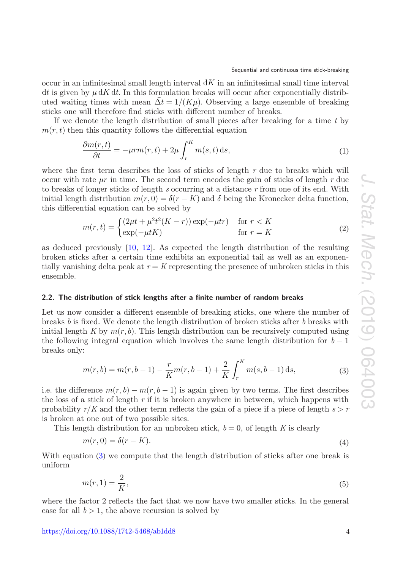Sequential and continuous time stick-breaking

occur in an infinitesimal small length interval  $dK$  in an infinitesimal small time interval dt is given by  $\mu$  dK dt. In this formulation breaks will occur after exponentially distributed waiting times with mean  $\overline{\Delta t} = 1/(K\mu)$ . Observing a large ensemble of breaking sticks one will therefore find sticks with different number of breaks.

If we denote the length distribution of small pieces after breaking for a time *t* by  $m(r,t)$  then this quantity follows the differential equation

$$
\frac{\partial m(r,t)}{\partial t} = -\mu r m(r,t) + 2\mu \int_r^K m(s,t) \, ds,\tag{1}
$$

where the first term describes the loss of sticks of length *r* due to breaks which will occur with rate  $\mu r$  in time. The second term encodes the gain of sticks of length  $r$  due to breaks of longer sticks of length *s* occurring at a distance *r* from one of its end. With initial length distribution  $m(r, 0) = \delta(r - K)$  and  $\delta$  being the Kronecker delta function, this differential equation can be solved by

<span id="page-4-2"></span>
$$
m(r,t) = \begin{cases} (2\mu t + \mu^2 t^2 (K - r)) \exp(-\mu tr) & \text{for } r < K\\ \exp(-\mu t K) & \text{for } r = K \end{cases}
$$
 (2)

as deduced previously [[10](#page-8-4), [12](#page-8-6)]. As expected the length distribution of the resulting broken sticks after a certain time exhibits an exponential tail as well as an exponentially vanishing delta peak at  $r = K$  representing the presence of unbroken sticks in this ensemble.

#### <span id="page-4-0"></span>**2.2. The distribution of stick lengths after a finite number of random breaks**

Let us now consider a different ensemble of breaking sticks, one where the number of breaks *b* is fixed. We denote the length distribution of broken sticks after *b* breaks with initial length *K* by  $m(r, b)$ . This length distribution can be recursively computed using the following integral equation which involves the same length distribution for  $b-1$ breaks only:

<span id="page-4-1"></span>
$$
m(r,b) = m(r,b-1) - \frac{r}{K}m(r,b-1) + \frac{2}{K} \int_r^K m(s,b-1) \,ds,\tag{3}
$$

i.e. the difference  $m(r, b) - m(r, b - 1)$  is again given by two terms. The first describes the loss of a stick of length *r* if it is broken anywhere in between, which happens with probability  $r/K$  and the other term reflects the gain of a piece if a piece of length  $s > r$ is broken at one out of two possible sites.

This length distribution for an unbroken stick,  $b = 0$ , of length *K* is clearly

$$
m(r,0) = \delta(r-K). \tag{4}
$$

With equation ([3](#page-4-1)) we compute that the length distribution of sticks after one break is uniform

$$
m(r,1) = \frac{2}{K},\tag{5}
$$

where the factor 2 reflects the fact that we now have two smaller sticks. In the general case for all  $b > 1$ , the above recursion is solved by

<https://doi.org/10.1088/1742-5468/ab1dd8> 4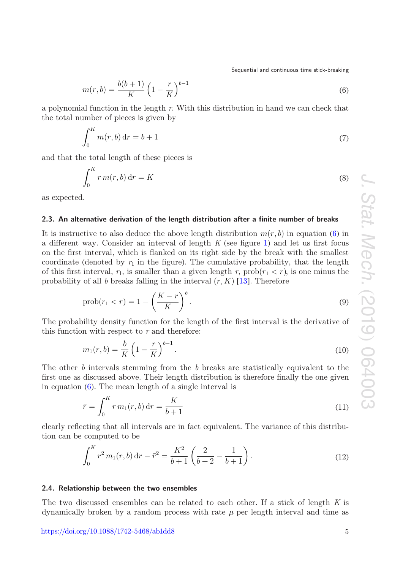Sequential and continuous time stick-breaking

<span id="page-5-2"></span>
$$
m(r,b) = \frac{b(b+1)}{K} \left(1 - \frac{r}{K}\right)^{b-1}
$$
 (6)

a polynomial function in the length *r*. With this distribution in hand we can check that the total number of pieces is given by

$$
\int_0^K m(r, b) dr = b + 1 \tag{7}
$$

and that the total length of these pieces is

$$
\int_0^K r m(r, b) dr = K \tag{8}
$$

as expected.

### <span id="page-5-0"></span>**2.3. An alternative derivation of the length distribution after a finite number of breaks**

It is instructive to also deduce the above length distribution  $m(r, b)$  in equation ([6](#page-5-2)) in a different way. Consider an interval of length  $K$  (see figure [1](#page-3-2)) and let us first focus on the first interval, which is flanked on its right side by the break with the smallest coordinate (denoted by  $r_1$  in the figure). The cumulative probability, that the length of this first interval,  $r_1$ , is smaller than a given length  $r$ ,  $\text{prob}(r_1 < r)$ , is one minus the probability of all *b* breaks falling in the interval  $(r, K)$  [[13](#page-8-7)]. Therefore

$$
\text{prob}(r_1 < r) = 1 - \left(\frac{K - r}{K}\right)^b. \tag{9}
$$

The probability density function for the length of the first interval is the derivative of this function with respect to *r* and therefore:

$$
m_1(r,b) = \frac{b}{K} \left( 1 - \frac{r}{K} \right)^{b-1}.
$$
 (10)

The other *b* intervals stemming from the *b* breaks are statistically equivalent to the first one as discussed above. Their length distribution is therefore finally the one given in equation ([6](#page-5-2)). The mean length of a single interval is

$$
\bar{r} = \int_0^K r \, m_1(r, b) \, \mathrm{d}r = \frac{K}{b+1} \tag{11}
$$

clearly reflecting that all intervals are in fact equivalent. The variance of this distribution can be computed to be

$$
\int_0^K r^2 m_1(r, b) dr - \bar{r}^2 = \frac{K^2}{b+1} \left( \frac{2}{b+2} - \frac{1}{b+1} \right). \tag{12}
$$

#### <span id="page-5-1"></span>**2.4. Relationship between the two ensembles**

The two discussed ensembles can be related to each other. If a stick of length *K* is dynamically broken by a random process with rate  $\mu$  per length interval and time as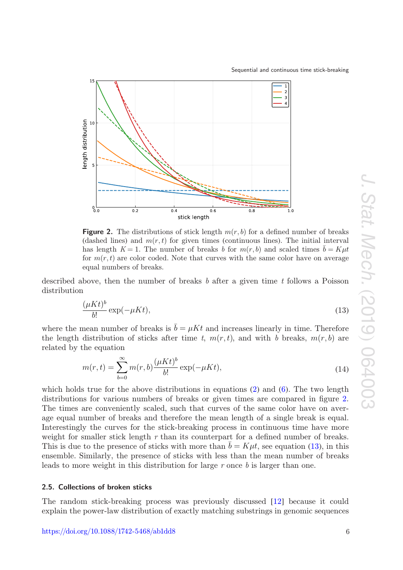

<span id="page-6-1"></span>

**Figure 2.** The distributions of stick length  $m(r, b)$  for a defined number of breaks (dashed lines) and  $m(r,t)$  for given times (continuous lines). The initial interval has length  $K = 1$ . The number of breaks *b* for  $m(r, b)$  and scaled times  $\bar{b} = K\mu t$ for  $m(r,t)$  are color coded. Note that curves with the same color have on average equal numbers of breaks.

described above, then the number of breaks *b* after a given time *t* follows a Poisson distribution

<span id="page-6-2"></span>
$$
\frac{(\mu Kt)^b}{b!} \exp(-\mu Kt),\tag{13}
$$

where the mean number of breaks is  $\bar{b} = \mu K t$  and increases linearly in time. Therefore the length distribution of sticks after time *t*,  $m(r, t)$ , and with *b* breaks,  $m(r, b)$  are related by the equation

$$
m(r,t) = \sum_{b=0}^{\infty} m(r,b) \frac{(\mu K t)^b}{b!} \exp(-\mu K t),
$$
\n(14)

which holds true for the above distributions in equations ([2](#page-4-2)) and ([6](#page-5-2)). The two length distributions for various numbers of breaks or given times are compared in figure [2](#page-6-1). The times are conveniently scaled, such that curves of the same color have on average equal number of breaks and therefore the mean length of a single break is equal. Interestingly the curves for the stick-breaking process in continuous time have more weight for smaller stick length r than its counterpart for a defined number of breaks. This is due to the presence of sticks with more than  $b = K\mu t$ , see equation ([13](#page-6-2)), in this ensemble. Similarly, the presence of sticks with less than the mean number of breaks leads to more weight in this distribution for large *r* once *b* is larger than one.

## <span id="page-6-0"></span>**2.5. Collections of broken sticks**

The random stick-breaking process was previously discussed [[12](#page-8-6)] because it could explain the power-law distribution of exactly matching substrings in genomic sequences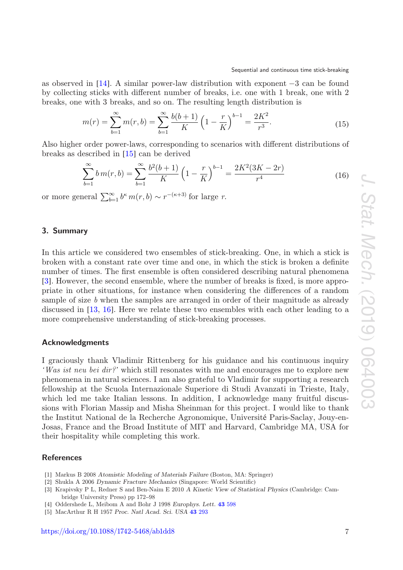as observed in [[14](#page-8-8)]. A similar power-law distribution with exponent −3 can be found by collecting sticks with different number of breaks, i.e. one with 1 break, one with 2 breaks, one with 3 breaks, and so on. The resulting length distribution is

$$
m(r) = \sum_{b=1}^{\infty} m(r, b) = \sum_{b=1}^{\infty} \frac{b(b+1)}{K} \left(1 - \frac{r}{K}\right)^{b-1} = \frac{2K^2}{r^3}.
$$
 (15)

Also higher order power-laws, corresponding to scenarios with different distributions of breaks as described in [[15](#page-8-9)] can be derived

$$
\sum_{b=1}^{\infty} b m(r, b) = \sum_{b=1}^{\infty} \frac{b^2(b+1)}{K} \left(1 - \frac{r}{K}\right)^{b-1} = \frac{2K^2(3K - 2r)}{r^4}
$$
(16)

or more general  $\sum_{b=1}^{\infty} b^k m(r, b) \sim r^{-(\kappa+3)}$  for large *r*.

# <span id="page-7-0"></span>**3. Summary**

In this article we considered two ensembles of stick-breaking. One, in which a stick is broken with a constant rate over time and one, in which the stick is broken a definite number of times. The first ensemble is often considered describing natural phenomena [[3](#page-7-5)]. However, the second ensemble, where the number of breaks is fixed, is more appropriate in other situations, for instance when considering the differences of a random sample of size *b* when the samples are arranged in order of their magnitude as already discussed in [[13](#page-8-7), [16](#page-8-10)]. Here we relate these two ensembles with each other leading to a more comprehensive understanding of stick-breaking processes.

#### <span id="page-7-1"></span>**Acknowledgments**

I graciously thank Vladimir Rittenberg for his guidance and his continuous inquiry *'Was ist neu bei dir?'* which still resonates with me and encourages me to explore new phenomena in natural sciences. I am also grateful to Vladimir for supporting a research fellowship at the Scuola Internazionale Superiore di Studi Avanzati in Trieste, Italy, which led me take Italian lessons. In addition, I acknowledge many fruitful discussions with Florian Massip and Misha Sheinman for this project. I would like to thank the Institut National de la Recherche Agronomique, Université Paris-Saclay, Jouy-en-Josas, France and the Broad Institute of MIT and Harvard, Cambridge MA, USA for their hospitality while completing this work.

### <span id="page-7-2"></span>**References**

- <span id="page-7-3"></span>[1] Markus B 2008 *Atomistic Modeling of Materials Failure* (Boston, MA: Springer)
- <span id="page-7-4"></span>[2] Shukla A 2006 *Dynamic Fracture Mechanics* (Singapore: World Scientific)
- <span id="page-7-5"></span>[3] Krapivsky P L, Redner S and Ben-Naim E 2010 *A Kinetic View of Statistical Physics* (Cambridge: Cambridge University Press) pp 172–98
- <span id="page-7-6"></span>[4] Oddershede L, Meibom A and Bohr J 1998 *Europhys. Lett.* **[43](https://doi.org/10.1209/epl/i1998-00403-3)** [598](https://doi.org/10.1209/epl/i1998-00403-3)
- <span id="page-7-7"></span>[5] MacArthur R H 1957 *Proc. Natl Acad. Sci. USA* **[43](https://doi.org/10.1073/pnas.43.3.293)** [293](https://doi.org/10.1073/pnas.43.3.293)